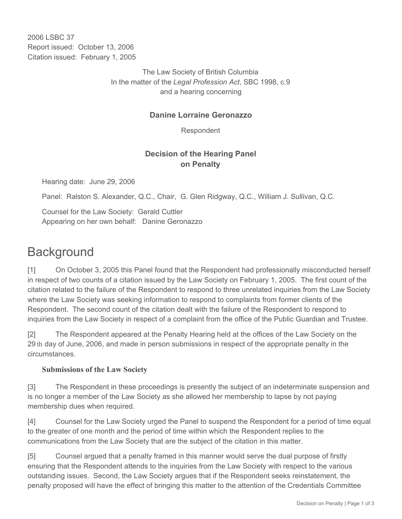2006 LSBC 37 Report issued: October 13, 2006 Citation issued: February 1, 2005

> The Law Society of British Columbia In the matter of the *Legal Profession Act*, SBC 1998, c.9 and a hearing concerning

#### **Danine Lorraine Geronazzo**

Respondent

## **Decision of the Hearing Panel on Penalty**

Hearing date: June 29, 2006

Panel: Ralston S. Alexander, Q.C., Chair, G. Glen Ridgway, Q.C., William J. Sullivan, Q.C.

Counsel for the Law Society: Gerald Cuttler Appearing on her own behalf: Danine Geronazzo

# **Background**

[1] On October 3, 2005 this Panel found that the Respondent had professionally misconducted herself in respect of two counts of a citation issued by the Law Society on February 1, 2005. The first count of the citation related to the failure of the Respondent to respond to three unrelated inquiries from the Law Society where the Law Society was seeking information to respond to complaints from former clients of the Respondent. The second count of the citation dealt with the failure of the Respondent to respond to inquiries from the Law Society in respect of a complaint from the office of the Public Guardian and Trustee.

[2] The Respondent appeared at the Penalty Hearing held at the offices of the Law Society on the 29 th day of June, 2006, and made in person submissions in respect of the appropriate penalty in the circumstances.

#### **Submissions of the Law Society**

[3] The Respondent in these proceedings is presently the subject of an indeterminate suspension and is no longer a member of the Law Society as she allowed her membership to lapse by not paying membership dues when required.

[4] Counsel for the Law Society urged the Panel to suspend the Respondent for a period of time equal to the greater of one month and the period of time within which the Respondent replies to the communications from the Law Society that are the subject of the citation in this matter.

[5] Counsel argued that a penalty framed in this manner would serve the dual purpose of firstly ensuring that the Respondent attends to the inquiries from the Law Society with respect to the various outstanding issues. Second, the Law Society argues that if the Respondent seeks reinstatement, the penalty proposed will have the effect of bringing this matter to the attention of the Credentials Committee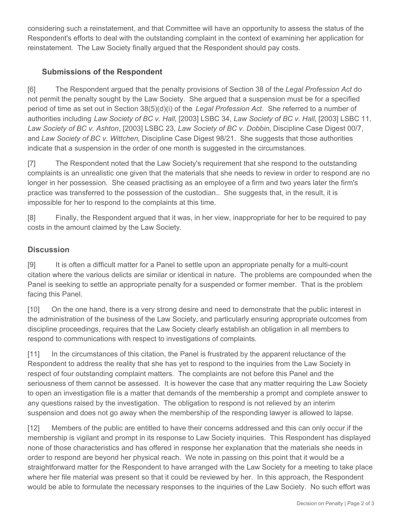considering such a reinstatement, and that Committee will have an opportunity to assess the status of the Respondent's efforts to deal with the outstanding complaint in the context of examining her application for reinstatement. The Law Society finally argued that the Respondent should pay costs.

## **Submissions of the Respondent**

[6] The Respondent argued that the penalty provisions of Section 38 of the *Legal Profession Act* do not permit the penalty sought by the Law Society. She argued that a suspension must be for a specified period of time as set out in Section 38(5)(d)(i) of the *Legal Profession Act*. She referred to a number of authorities including *Law Society of BC v. Hall*, [2003] LSBC 34, *Law Society of BC v. Hall*, [2003] LSBC 11, *Law Society of BC v. Ashton*, [2003] LSBC 23, *Law Society of BC v. Dobbin*, Discipline Case Digest 00/7, and *Law Society of BC v. Wittchen*, Discipline Case Digest 98/21. She suggests that those authorities indicate that a suspension in the order of one month is suggested in the circumstances.

[7] The Respondent noted that the Law Society's requirement that she respond to the outstanding complaints is an unrealistic one given that the materials that she needs to review in order to respond are no longer in her possession. She ceased practising as an employee of a firm and two years later the firm's practice was transferred to the possession of the custodian.. She suggests that, in the result, it is impossible for her to respond to the complaints at this time.

[8] Finally, the Respondent argued that it was, in her view, inappropriate for her to be required to pay costs in the amount claimed by the Law Society.

## **Discussion**

[9] It is often a difficult matter for a Panel to settle upon an appropriate penalty for a multi-count citation where the various delicts are similar or identical in nature. The problems are compounded when the Panel is seeking to settle an appropriate penalty for a suspended or former member. That is the problem facing this Panel.

[10] On the one hand, there is a very strong desire and need to demonstrate that the public interest in the administration of the business of the Law Society, and particularly ensuring appropriate outcomes from discipline proceedings, requires that the Law Society clearly establish an obligation in all members to respond to communications with respect to investigations of complaints.

[11] In the circumstances of this citation, the Panel is frustrated by the apparent reluctance of the Respondent to address the reality that she has yet to respond to the inquiries from the Law Society in respect of four outstanding complaint matters. The complaints are not before this Panel and the seriousness of them cannot be assessed. It is however the case that any matter requiring the Law Society to open an investigation file is a matter that demands of the membership a prompt and complete answer to any questions raised by the investigation. The obligation to respond is not relieved by an interim suspension and does not go away when the membership of the responding lawyer is allowed to lapse.

[12] Members of the public are entitled to have their concerns addressed and this can only occur if the membership is vigilant and prompt in its response to Law Society inquiries. This Respondent has displayed none of those characteristics and has offered in response her explanation that the materials she needs in order to respond are beyond her physical reach. We note in passing on this point that it would be a straightforward matter for the Respondent to have arranged with the Law Society for a meeting to take place where her file material was present so that it could be reviewed by her. In this approach, the Respondent would be able to formulate the necessary responses to the inquiries of the Law Society. No such effort was